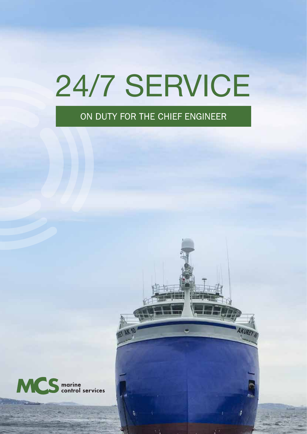# 24/7 SERVICE

#### ON DUTY FOR THE CHIEF ENGINEER

A

**AKURE** 

18

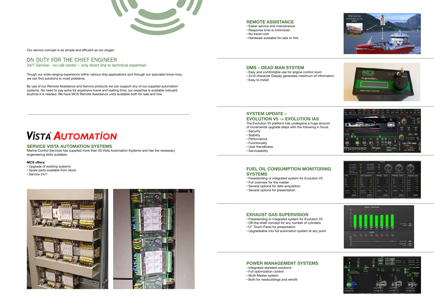#### **REMOTE ASSISTANCE**

- Easier service and maintanance
- Response time is minimized
- No travel cost
- Hardware available for sale or hire

#### **DMS – DEAD MAN SYSTEM**

- Easy and comfortable use for engine control room
- 2x16 character Display generates maximum of information • Easy to install

#### **SYSTEM UPDATE – EVOLUTION V5 -> EVOLUTION IAS**

The Evolution V5 platform has undergone a huge amount of incremental upgrade steps with the following in focus.

- Security
- Stability
- Performance
- Functionality
- User friendliness
- Serviceability

#### **FUEL OIL CONSUMPTION MONITORING SYSTEMS**

- Freestanding or integrated system for Evolution V5
- Full overview for the master
- Several options for data acquisition
- Several options for presentation

#### **EXHAUST GAS SUPERVISION**

- Freestanding or integrated system for Evolution V5
- Off-the-shelf concept for any number of cylinders
- •12" Touch Panel for presentation
- Upgradeable into full automation system at any point

#### **POWER MANAGEMENT SYSTEMS**

- Integrated standard solutions
- Full optimization control
- Multi-Master system
- Both for newbuildings and retrofit

## **VISTA AUTOMATION**

#### Our service concept is as simple and efficient as our slogan:

#### ON DUTY FOR THE CHIEF ENGINEER

24/7 Service - no call center – only direct line to technical expertise!

Trough our wide-ranging experience within various ship applications and through our specialist know-how, we can find solutions to most problems.

By use of our Remote Assistance and Service products we can support any of our supplied automation systems. No need to pay extra for expensive travel and waiting time, our expertise is available onboard anytime it is needed. We have MCS Remote Assistance units available both for sale and hire.

#### **SERVICE VISTA AUTOMATION SYSTEMS**

Marine Control Services has supplied more than 50 Vista Automation Systems and has the necessary engeneering skills available.

#### **MCS offers:**

- Upgrade of existing systems
- Spare parts available from stock
- Service 24/7